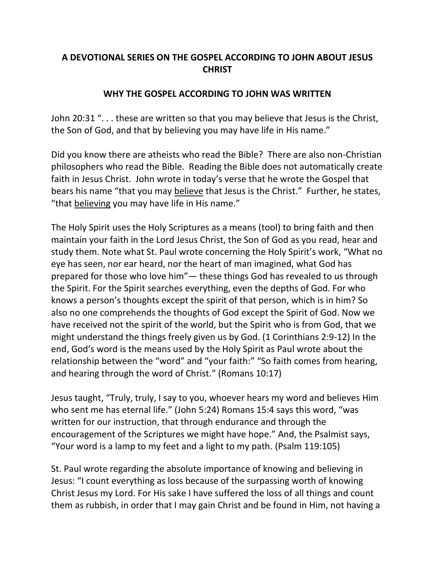## **A DEVOTIONAL SERIES ON THE GOSPEL ACCORDING TO JOHN ABOUT JESUS CHRIST**

## **WHY THE GOSPEL ACCORDING TO JOHN WAS WRITTEN**

John 20:31 ". . . these are written so that you may believe that Jesus is the Christ, the Son of God, and that by believing you may have life in His name."

Did you know there are atheists who read the Bible? There are also non-Christian philosophers who read the Bible. Reading the Bible does not automatically create faith in Jesus Christ. John wrote in today's verse that he wrote the Gospel that bears his name "that you may believe that Jesus is the Christ." Further, he states, "that believing you may have life in His name."

The Holy Spirit uses the Holy Scriptures as a means (tool) to bring faith and then maintain your faith in the Lord Jesus Christ, the Son of God as you read, hear and study them. Note what St. Paul wrote concerning the Holy Spirit's work, "What no eye has seen, nor ear heard, nor the heart of man imagined, what God has prepared for those who love him"— these things God has revealed to us through the Spirit. For the Spirit searches everything, even the depths of God. For who knows a person's thoughts except the spirit of that person, which is in him? So also no one comprehends the thoughts of God except the Spirit of God. Now we have received not the spirit of the world, but the Spirit who is from God, that we might understand the things freely given us by God. (1 Corinthians 2:9-12) In the end, God's word is the means used by the Holy Spirit as Paul wrote about the relationship between the "word" and "your faith:" "So faith comes from hearing, and hearing through the word of Christ." (Romans 10:17)

Jesus taught, "Truly, truly, I say to you, whoever hears my word and believes Him who sent me has eternal life." (John 5:24) Romans 15:4 says this word, "was written for our instruction, that through endurance and through the encouragement of the Scriptures we might have hope." And, the Psalmist says, "Your word is a lamp to my feet and a light to my path. (Psalm 119:105)

St. Paul wrote regarding the absolute importance of knowing and believing in Jesus: "I count everything as loss because of the surpassing worth of knowing Christ Jesus my Lord. For His sake I have suffered the loss of all things and count them as rubbish, in order that I may gain Christ and be found in Him, not having a